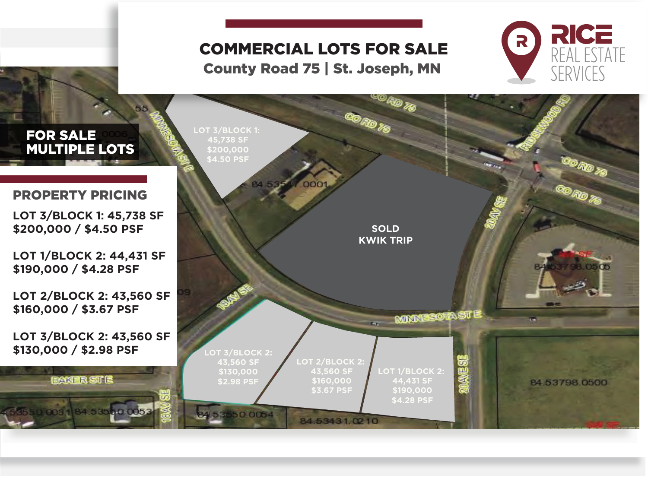# COMMERCIAL LOTS FOR SALE

County Road 75 | St. Joseph, MN



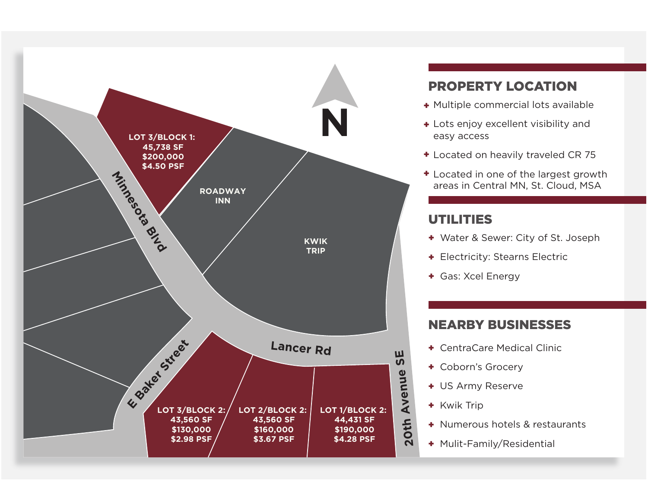

## PROPERTY LOCATION

- + Multiple commercial lots available
- + Lots enjoy excellent visibility and easy access
- + Located on heavily traveled CR 75
- + Located in one of the largest growth

### UTILITIES

- + Water & Sewer: City of St. Joseph
- + Electricity: Stearns Electric
- Gas: Xcel Energy +

#### NEARBY BUSINESSES

- CentraCare Medical Clinic +
- Coborn's Grocery +
- + US Army Reserve
- + Kwik Trip
- Numerous hotels & restaurants +
- + Mulit-Family/Residential